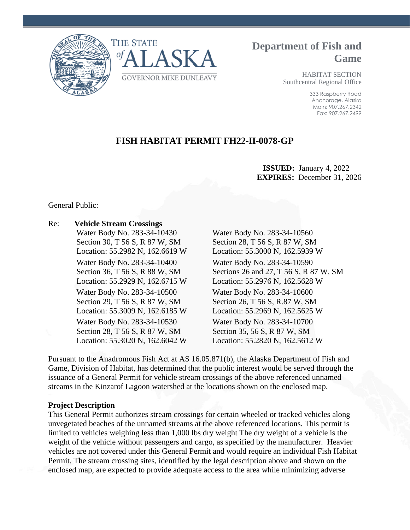



# **Department of Fish and Game**

HABITAT SECTION Southcentral Regional Office

> 333 Raspberry Road Anchorage, Alaska Main: 907.267.2342 Fax: 907.267.2499

# **FISH HABITAT PERMIT FH22-II-0078-GP**

### **ISSUED:** January 4, 2022 **EXPIRES:** December 31, 2026

General Public:

## Re: **Vehicle Stream Crossings**  Water Body No. 283-34-10430 Water Body No. 283-34-10560 Section 30, T 56 S, R 87 W, SM Section 28, T 56 S, R 87 W, SM Location: 55.2982 N, 162.6619 W Location: 55.3000 N, 162.5939 W Water Body No. 283-34-10400 Water Body No. 283-34-10590 Location: 55.2929 N, 162.6715 W Location: 55.2976 N, 162.5628 W Water Body No. 283-34-10500 Water Body No. 283-34-10600 Section 29, T 56 S, R 87 W, SM Section 26, T 56 S, R.87 W, SM Location: 55.3009 N, 162.6185 W Location: 55.2969 N, 162.5625 W Water Body No. 283-34-10530 Water Body No. 283-34-10700 Section 28, T 56 S, R 87 W, SM Section 35, 56 S, R 87 W, SM Location: 55.3020 N, 162.6042 W Location: 55.2820 N, 162.5612 W

Section 36, T 56 S, R 88 W, SM Sections 26 and 27, T 56 S, R 87 W, SM

Pursuant to the Anadromous Fish Act at AS 16.05.871(b), the Alaska Department of Fish and Game, Division of Habitat, has determined that the public interest would be served through the issuance of a General Permit for vehicle stream crossings of the above referenced unnamed streams in the Kinzarof Lagoon watershed at the locations shown on the enclosed map.

### **Project Description**

This General Permit authorizes stream crossings for certain wheeled or tracked vehicles along unvegetated beaches of the unnamed streams at the above referenced locations. This permit is limited to vehicles weighing less than 1,000 lbs dry weight The dry weight of a vehicle is the weight of the vehicle without passengers and cargo, as specified by the manufacturer. Heavier vehicles are not covered under this General Permit and would require an individual Fish Habitat Permit. The stream crossing sites, identified by the legal description above and shown on the enclosed map, are expected to provide adequate access to the area while minimizing adverse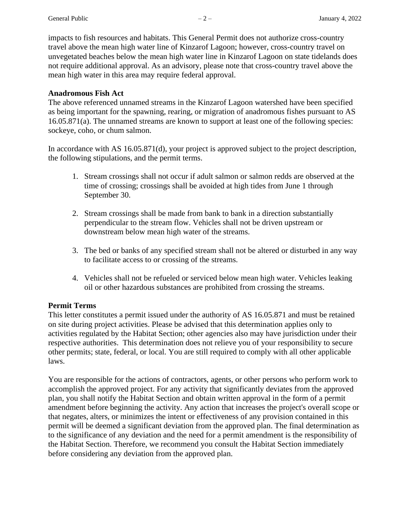impacts to fish resources and habitats. This General Permit does not authorize cross-country travel above the mean high water line of Kinzarof Lagoon; however, cross-country travel on unvegetated beaches below the mean high water line in Kinzarof Lagoon on state tidelands does not require additional approval. As an advisory, please note that cross-country travel above the mean high water in this area may require federal approval.

#### **Anadromous Fish Act**

The above referenced unnamed streams in the Kinzarof Lagoon watershed have been specified as being important for the spawning, rearing, or migration of anadromous fishes pursuant to AS 16.05.871(a). The unnamed streams are known to support at least one of the following species: sockeye, coho, or chum salmon.

In accordance with AS 16.05.871(d), your project is approved subject to the project description, the following stipulations, and the permit terms.

- 1. Stream crossings shall not occur if adult salmon or salmon redds are observed at the time of crossing; crossings shall be avoided at high tides from June 1 through September 30.
- 2. Stream crossings shall be made from bank to bank in a direction substantially perpendicular to the stream flow. Vehicles shall not be driven upstream or downstream below mean high water of the streams.
- 3. The bed or banks of any specified stream shall not be altered or disturbed in any way to facilitate access to or crossing of the streams.
- 4. Vehicles shall not be refueled or serviced below mean high water. Vehicles leaking oil or other hazardous substances are prohibited from crossing the streams.

#### **Permit Terms**

This letter constitutes a permit issued under the authority of AS 16.05.871 and must be retained on site during project activities. Please be advised that this determination applies only to activities regulated by the Habitat Section; other agencies also may have jurisdiction under their respective authorities. This determination does not relieve you of your responsibility to secure other permits; state, federal, or local. You are still required to comply with all other applicable laws.

You are responsible for the actions of contractors, agents, or other persons who perform work to accomplish the approved project. For any activity that significantly deviates from the approved plan, you shall notify the Habitat Section and obtain written approval in the form of a permit amendment before beginning the activity. Any action that increases the project's overall scope or that negates, alters, or minimizes the intent or effectiveness of any provision contained in this permit will be deemed a significant deviation from the approved plan. The final determination as to the significance of any deviation and the need for a permit amendment is the responsibility of the Habitat Section. Therefore, we recommend you consult the Habitat Section immediately before considering any deviation from the approved plan.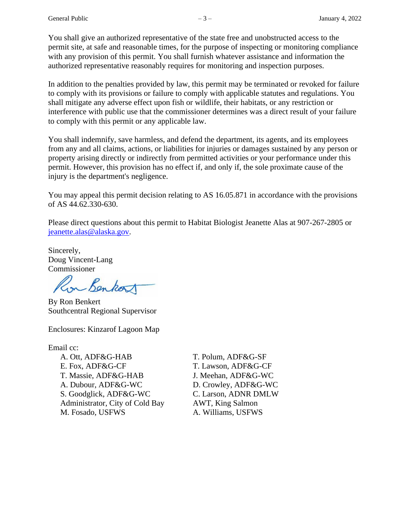You shall give an authorized representative of the state free and unobstructed access to the permit site, at safe and reasonable times, for the purpose of inspecting or monitoring compliance with any provision of this permit. You shall furnish whatever assistance and information the authorized representative reasonably requires for monitoring and inspection purposes.

In addition to the penalties provided by law, this permit may be terminated or revoked for failure to comply with its provisions or failure to comply with applicable statutes and regulations. You shall mitigate any adverse effect upon fish or wildlife, their habitats, or any restriction or interference with public use that the commissioner determines was a direct result of your failure to comply with this permit or any applicable law.

You shall indemnify, save harmless, and defend the department, its agents, and its employees from any and all claims, actions, or liabilities for injuries or damages sustained by any person or property arising directly or indirectly from permitted activities or your performance under this permit. However, this provision has no effect if, and only if, the sole proximate cause of the injury is the department's negligence.

You may appeal this permit decision relating to AS 16.05.871 in accordance with the provisions of AS 44.62.330-630.

Please direct questions about this permit to Habitat Biologist Jeanette Alas at 907-267-2805 or [jeanette.alas@alaska.gov.](mailto:jeanette.alas@alaska.gov)

Sincerely, Doug Vincent-Lang Commissioner

on Benkort

By Ron Benkert Southcentral Regional Supervisor

Enclosures: Kinzarof Lagoon Map

Email cc:

A. Ott, ADF&G-HAB T. Polum, ADF&G-SF E. Fox, ADF&G-CF T. Lawson, ADF&G-CF T. Massie, ADF&G-HAB J. Meehan, ADF&G-WC A. Dubour, ADF&G-WC D. Crowley, ADF&G-WC S. Goodglick, ADF&G-WC C. Larson, ADNR DMLW Administrator, City of Cold Bay AWT, King Salmon M. Fosado, USFWS A. Williams, USFWS